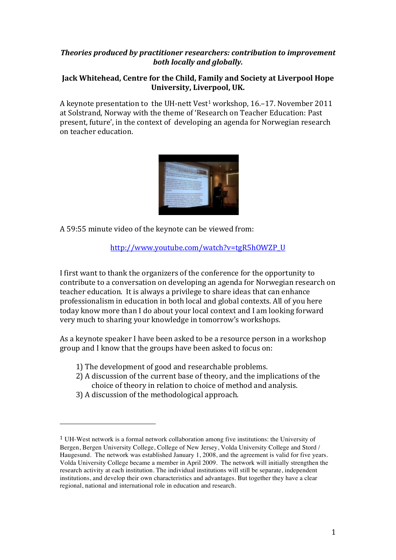## **Theories produced by practitioner researchers: contribution to improvement** *both locally and globally.*

# **Jack Whitehead, Centre for the Child, Family and Society at Liverpool Hope University, Liverpool, UK.**

A keynote presentation to the UH-nett Vest<sup>1</sup> workshop, 16.–17. November 2011 at Solstrand, Norway with the theme of 'Research on Teacher Education: Past present, future', in the context of developing an agenda for Norwegian research on teacher education.



A 59:55 minute video of the keynote can be viewed from:

http://www.youtube.com/watch?v=tgR5hOWZP\_U

I first want to thank the organizers of the conference for the opportunity to contribute to a conversation on developing an agenda for Norwegian research on teacher education. It is always a privilege to share ideas that can enhance professionalism in education in both local and global contexts. All of you here today know more than I do about your local context and I am looking forward very much to sharing your knowledge in tomorrow's workshops.

As a keynote speaker I have been asked to be a resource person in a workshop group and I know that the groups have been asked to focus on:

- 1) The development of good and researchable problems.
- 2) A discussion of the current base of theory, and the implications of the choice of theory in relation to choice of method and analysis.
- 3) A discussion of the methodological approach.

 

<sup>1</sup> UH-West network is a formal network collaboration among five institutions: the University of Bergen, Bergen University College, College of New Jersey, Volda University College and Stord / Haugesund. The network was established January 1, 2008, and the agreement is valid for five years. Volda University College became a member in April 2009. The network will initially strengthen the research activity at each institution. The individual institutions will still be separate, independent institutions, and develop their own characteristics and advantages. But together they have a clear regional, national and international role in education and research.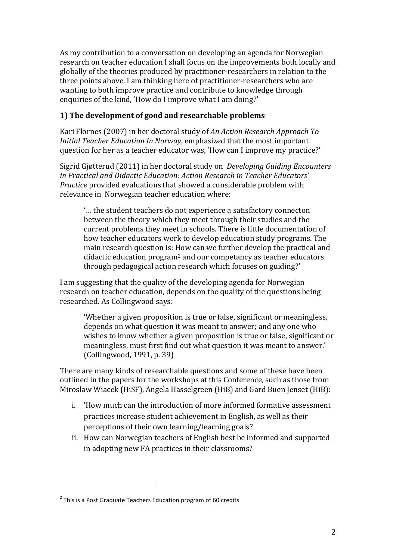As my contribution to a conversation on developing an agenda for Norwegian research on teacher education I shall focus on the improvements both locally and globally of the theories produced by practitioner-researchers in relation to the three points above. I am thinking here of practitioner-researchers who are wanting to both improve practice and contribute to knowledge through enquiries of the kind, 'How do I improve what I am doing?'

# **1)** The development of good and researchable problems

Kari Flornes (2007) in her doctoral study of An Action Research Approach To *Initial Teacher Education In Norway*, emphasized that the most important question for her as a teacher educator was, 'How can I improve my practice?'

Sigrid Giøtterud (2011) in her doctoral study on *Developing Guiding Encounters* in Practical and Didactic Education: Action Research in Teacher Educators' *Practice* provided evaluations that showed a considerable problem with relevance in Norwegian teacher education where:

"... the student teachers do not experience a satisfactory connecton between the theory which they meet through their studies and the current problems they meet in schools. There is little documentation of how teacher educators work to develop education study programs. The main research question is: How can we further develop the practical and didactic education  $program^2$  and our competancy as teacher educators through pedagogical action research which focuses on guiding?'

I am suggesting that the quality of the developing agenda for Norwegian research on teacher education, depends on the quality of the questions being researched. As Collingwood says:

'Whether a given proposition is true or false, significant or meaningless, depends on what question it was meant to answer; and any one who wishes to know whether a given proposition is true or false, significant or meaningless, must first find out what question it was meant to answer.'  $\left[$ Collingwood, 1991, p. 39)

There are many kinds of researchable questions and some of these have been outlined in the papers for the workshops at this Conference, such as those from Miroslaw Wiacek (HiSF), Angela Hasselgreen (HiB) and Gard Buen Jenset (HiB):

- i. Thow much can the introduction of more informed formative assessment practices increase student achievement in English, as well as their perceptions of their own learning/learning goals?
- ii. How can Norwegian teachers of English best be informed and supported in adopting new FA practices in their classrooms?

 

 $2$  This is a Post Graduate Teachers Education program of 60 credits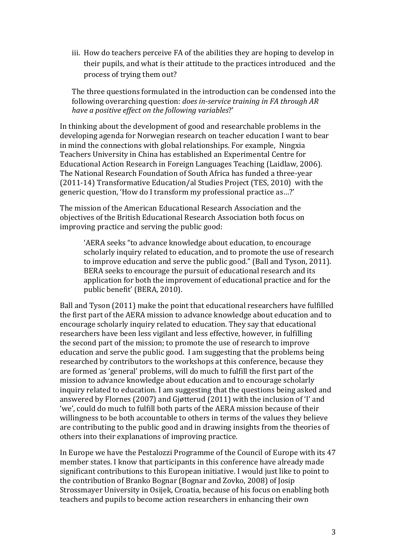iii. How do teachers perceive FA of the abilities they are hoping to develop in their pupils, and what is their attitude to the practices introduced and the process of trying them out?

The three questions formulated in the introduction can be condensed into the following overarching question: *does in-service training in FA through AR* have a positive effect on the following variables?'

In thinking about the development of good and researchable problems in the developing agenda for Norwegian research on teacher education I want to bear in mind the connections with global relationships. For example, Ningxia Teachers University in China has established an Experimental Centre for Educational Action Research in Foreign Languages Teaching (Laidlaw, 2006). The National Research Foundation of South Africa has funded a three-year (2011-14) Transformative Education/al Studies Project (TES, 2010) with the generic question, 'How do I transform my professional practice as...?'

The mission of the American Educational Research Association and the objectives of the British Educational Research Association both focus on improving practice and serving the public good:

'AERA seeks "to advance knowledge about education, to encourage scholarly inquiry related to education, and to promote the use of research to improve education and serve the public good." (Ball and Tyson, 2011). BERA seeks to encourage the pursuit of educational research and its application for both the improvement of educational practice and for the public benefit' (BERA, 2010).

Ball and Tyson (2011) make the point that educational researchers have fulfilled the first part of the AERA mission to advance knowledge about education and to encourage scholarly inquiry related to education. They say that educational researchers have been less vigilant and less effective, however, in fulfilling the second part of the mission; to promote the use of research to improve education and serve the public good. I am suggesting that the problems being researched by contributors to the workshops at this conference, because they are formed as 'general' problems, will do much to fulfill the first part of the mission to advance knowledge about education and to encourage scholarly inquiry related to education. I am suggesting that the questions being asked and answered by Flornes  $(2007)$  and Giøtterud  $(2011)$  with the inclusion of 'I' and 'we', could do much to fulfill both parts of the AERA mission because of their willingness to be both accountable to others in terms of the values they believe are contributing to the public good and in drawing insights from the theories of others into their explanations of improving practice.

In Europe we have the Pestalozzi Programme of the Council of Europe with its 47 member states. I know that participants in this conference have already made significant contributions to this European initiative. I would just like to point to the contribution of Branko Bognar (Bognar and Zovko, 2008) of Josip Strossmayer University in Osijek, Croatia, because of his focus on enabling both teachers and pupils to become action researchers in enhancing their own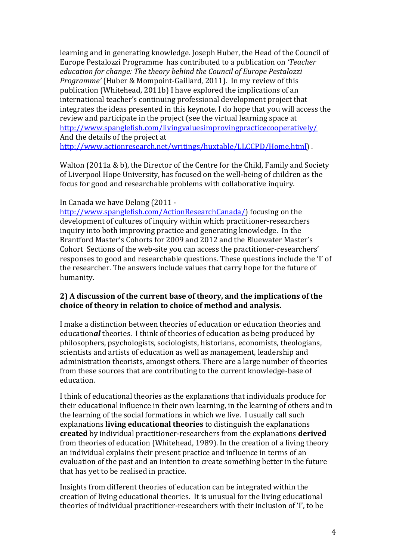learning and in generating knowledge. Joseph Huber, the Head of the Council of Europe Pestalozzi Programme has contributed to a publication on *'Teacher education for change: The theory behind the Council of Europe Pestalozzi Programme'* (Huber & Mompoint-Gaillard, 2011). In my review of this publication (Whitehead, 2011b) I have explored the implications of an international teacher's continuing professional development project that integrates the ideas presented in this keynote. I do hope that you will access the review and participate in the project (see the virtual learning space at http://www.spanglefish.com/livingvaluesimprovingpracticecooperatively/ And the details of the project at http://www.actionresearch.net/writings/huxtable/LLCCPD/Home.html).

Walton  $(2011a \& b)$ , the Director of the Centre for the Child, Family and Society of Liverpool Hope University, has focused on the well-being of children as the focus for good and researchable problems with collaborative inquiry.

### In Canada we have Delong (2011 -

http://www.spanglefish.com/ActionResearchCanada/) focusing on the development of cultures of inquiry within which practitioner-researchers inquiry into both improving practice and generating knowledge. In the Brantford Master's Cohorts for 2009 and 2012 and the Bluewater Master's Cohort Sections of the web-site you can access the practitioner-researchers' responses to good and researchable questions. These questions include the 'I' of the researcher. The answers include values that carry hope for the future of humanity.

#### **2)** A discussion of the current base of theory, and the implications of the choice of theory in relation to choice of method and analysis.

I make a distinction between theories of education or education theories and education*al* theories. I think of theories of education as being produced by philosophers, psychologists, sociologists, historians, economists, theologians, scientists and artists of education as well as management, leadership and administration theorists, amongst others. There are a large number of theories from these sources that are contributing to the current knowledge-base of education. 

I think of educational theories as the explanations that individuals produce for their educational influence in their own learning, in the learning of others and in the learning of the social formations in which we live. I usually call such explanations **living educational theories** to distinguish the explanations **created** by individual practitioner-researchers from the explanations **derived** from theories of education (Whitehead, 1989). In the creation of a living theory an individual explains their present practice and influence in terms of an evaluation of the past and an intention to create something better in the future that has yet to be realised in practice.

Insights from different theories of education can be integrated within the creation of living educational theories. It is unusual for the living educational theories of individual practitioner-researchers with their inclusion of 'I', to be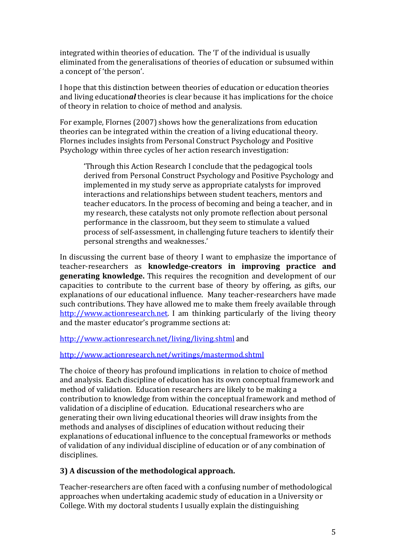integrated within theories of education. The 'I' of the individual is usually eliminated from the generalisations of theories of education or subsumed within a concept of 'the person'.

I hope that this distinction between theories of education or education theories and living educational theories is clear because it has implications for the choice of theory in relation to choice of method and analysis.

For example, Flornes (2007) shows how the generalizations from education theories can be integrated within the creation of a living educational theory. Flornes includes insights from Personal Construct Psychology and Positive Psychology within three cycles of her action research investigation:

'Through this Action Research I conclude that the pedagogical tools derived from Personal Construct Psychology and Positive Psychology and implemented in my study serve as appropriate catalysts for improved interactions and relationships between student teachers, mentors and teacher educators. In the process of becoming and being a teacher, and in my research, these catalysts not only promote reflection about personal performance in the classroom, but they seem to stimulate a valued process of self-assessment, in challenging future teachers to identify their personal strengths and weaknesses.'

In discussing the current base of theory I want to emphasize the importance of teacher-researchers as **knowledge-creators** in improving practice and **generating knowledge.** This requires the recognition and development of our capacities to contribute to the current base of theory by offering, as gifts, our explanations of our educational influence. Many teacher-researchers have made such contributions. They have allowed me to make them freely available through http://www.actionresearch.net. I am thinking particularly of the living theory and the master educator's programme sections at:

http://www.actionresearch.net/living/living.shtml and

### http://www.actionresearch.net/writings/mastermod.shtml

The choice of theory has profound implications in relation to choice of method and analysis. Each discipline of education has its own conceptual framework and method of validation. Education researchers are likely to be making a contribution to knowledge from within the conceptual framework and method of validation of a discipline of education. Educational researchers who are generating their own living educational theories will draw insights from the methods and analyses of disciplines of education without reducing their explanations of educational influence to the conceptual frameworks or methods of validation of any individual discipline of education or of any combination of disciplines. 

### **3)** A discussion of the methodological approach.

Teacher-researchers are often faced with a confusing number of methodological approaches when undertaking academic study of education in a University or College. With my doctoral students I usually explain the distinguishing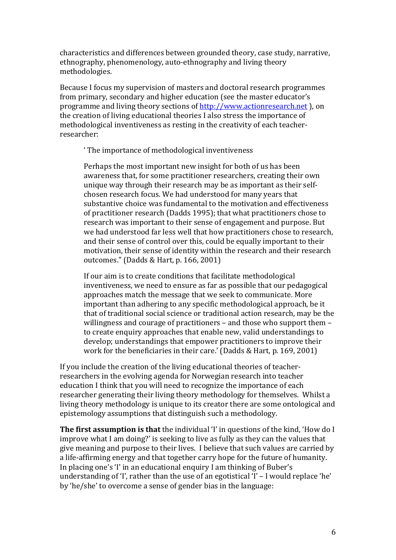characteristics and differences between grounded theory, case study, narrative, ethnography, phenomenology, auto-ethnography and living theory methodologies.

Because I focus my supervision of masters and doctoral research programmes from primary, secondary and higher education (see the master educator's programme and living theory sections of http://www.actionresearch.net ), on the creation of living educational theories I also stress the importance of methodological inventiveness as resting in the creativity of each teacherresearcher:

' The importance of methodological inventiveness

Perhaps the most important new insight for both of us has been awareness that, for some practitioner researchers, creating their own unique way through their research may be as important as their selfchosen research focus. We had understood for many years that substantive choice was fundamental to the motivation and effectiveness of practitioner research (Dadds 1995); that what practitioners chose to research was important to their sense of engagement and purpose. But we had understood far less well that how practitioners chose to research, and their sense of control over this, could be equally important to their motivation, their sense of identity within the research and their research outcomes." (Dadds & Hart, p. 166, 2001)

If our aim is to create conditions that facilitate methodological inventiveness, we need to ensure as far as possible that our pedagogical approaches match the message that we seek to communicate. More important than adhering to any specific methodological approach, be it that of traditional social science or traditional action research, may be the willingness and courage of practitioners – and those who support them – to create enquiry approaches that enable new, valid understandings to develop; understandings that empower practitioners to improve their work for the beneficiaries in their care.' (Dadds & Hart, p. 169, 2001)

If you include the creation of the living educational theories of teacherresearchers in the evolving agenda for Norwegian research into teacher education I think that you will need to recognize the importance of each researcher generating their living theory methodology for themselves. Whilst a living theory methodology is unique to its creator there are some ontological and epistemology assumptions that distinguish such a methodology.

**The first assumption is that** the individual 'I' in questions of the kind, 'How do I improve what I am doing?' is seeking to live as fully as they can the values that give meaning and purpose to their lives. I believe that such values are carried by a life-affirming energy and that together carry hope for the future of humanity. In placing one's 'I' in an educational enquiry I am thinking of Buber's understanding of 'I', rather than the use of an egotistical 'I' – I would replace 'he' by 'he/she' to overcome a sense of gender bias in the language: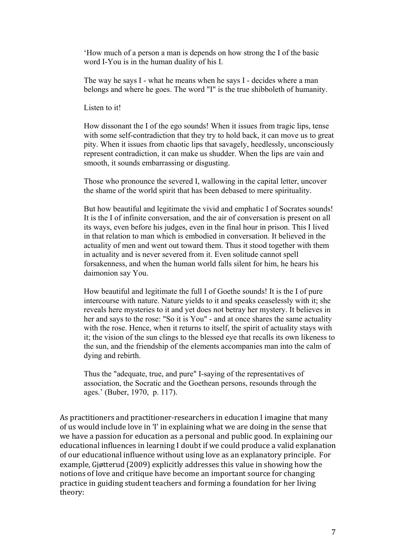'How much of a person a man is depends on how strong the I of the basic word I-You is in the human duality of his I.

The way he says I - what he means when he says I - decides where a man belongs and where he goes. The word "I" is the true shibboleth of humanity.

#### Listen to it!

How dissonant the I of the ego sounds! When it issues from tragic lips, tense with some self-contradiction that they try to hold back, it can move us to great pity. When it issues from chaotic lips that savagely, heedlessly, unconsciously represent contradiction, it can make us shudder. When the lips are vain and smooth, it sounds embarrassing or disgusting.

Those who pronounce the severed I, wallowing in the capital letter, uncover the shame of the world spirit that has been debased to mere spirituality.

But how beautiful and legitimate the vivid and emphatic I of Socrates sounds! It is the I of infinite conversation, and the air of conversation is present on all its ways, even before his judges, even in the final hour in prison. This I lived in that relation to man which is embodied in conversation. It believed in the actuality of men and went out toward them. Thus it stood together with them in actuality and is never severed from it. Even solitude cannot spell forsakenness, and when the human world falls silent for him, he hears his daimonion say You.

How beautiful and legitimate the full I of Goethe sounds! It is the I of pure intercourse with nature. Nature yields to it and speaks ceaselessly with it; she reveals here mysteries to it and yet does not betray her mystery. It believes in her and says to the rose: "So it is You" - and at once shares the same actuality with the rose. Hence, when it returns to itself, the spirit of actuality stays with it; the vision of the sun clings to the blessed eye that recalls its own likeness to the sun, and the friendship of the elements accompanies man into the calm of dying and rebirth.

Thus the "adequate, true, and pure" I-saying of the representatives of association, the Socratic and the Goethean persons, resounds through the ages.' (Buber, 1970, p. 117).

As practitioners and practitioner-researchers in education I imagine that many of us would include love in 'I' in explaining what we are doing in the sense that we have a passion for education as a personal and public good. In explaining our educational influences in learning I doubt if we could produce a valid explanation of our educational influence without using love as an explanatory principle. For example, Gigtterud (2009) explicitly addresses this value in showing how the notions of love and critique have become an important source for changing practice in guiding student teachers and forming a foundation for her living theory: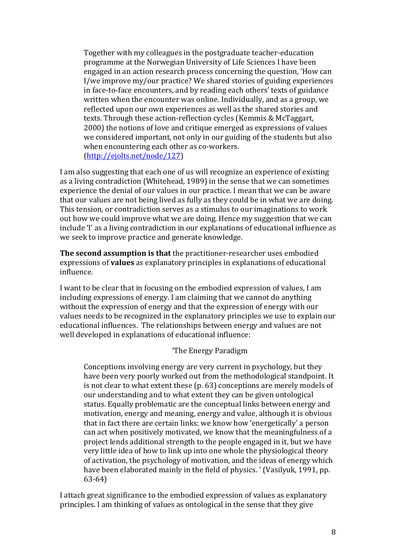Together with my colleagues in the postgraduate teacher-education programme at the Norwegian University of Life Sciences I have been engaged in an action research process concerning the question, 'How can I/we improve  $my/our$  practice? We shared stories of guiding experiences in face-to-face encounters, and by reading each others' texts of guidance written when the encounter was online. Individually, and as a group, we reflected upon our own experiences as well as the shared stories and texts. Through these action-reflection cycles (Kemmis & McTaggart, 2000) the notions of love and critique emerged as expressions of values we considered important, not only in our guiding of the students but also when encountering each other as co-workers. (http://ejolts.net/node/127)

I am also suggesting that each one of us will recognize an experience of existing as a living contradiction (Whitehead, 1989) in the sense that we can sometimes experience the denial of our values in our practice. I mean that we can be aware that our values are not being lived as fully as they could be in what we are doing. This tension, or contradiction serves as a stimulus to our imaginations to work out how we could improve what we are doing. Hence my suggestion that we can include 'I' as a living contradiction in our explanations of educational influence as we seek to improve practice and generate knowledge.

**The second assumption is that** the practitioner-researcher uses embodied expressions of **values** as explanatory principles in explanations of educational influence.

I want to be clear that in focusing on the embodied expression of values, I am including expressions of energy. I am claiming that we cannot do anything without the expression of energy and that the expression of energy with our values needs to be recognized in the explanatory principles we use to explain our educational influences. The relationships between energy and values are not well developed in explanations of educational influence:

### 'The Energy Paradigm

Conceptions involving energy are very current in psychology, but they have been very poorly worked out from the methodological standpoint. It is not clear to what extent these  $(p. 63)$  conceptions are merely models of our understanding and to what extent they can be given ontological status. Equally problematic are the conceptual links between energy and motivation, energy and meaning, energy and value, although it is obvious that in fact there are certain links: we know how 'energetically' a person can act when positively motivated, we know that the meaningfulness of a project lends additional strength to the people engaged in it, but we have very little idea of how to link up into one whole the physiological theory of activation, the psychology of motivation, and the ideas of energy which have been elaborated mainly in the field of physics. ' (Vasilyuk, 1991, pp. 63-64)

I attach great significance to the embodied expression of values as explanatory principles. I am thinking of values as ontological in the sense that they give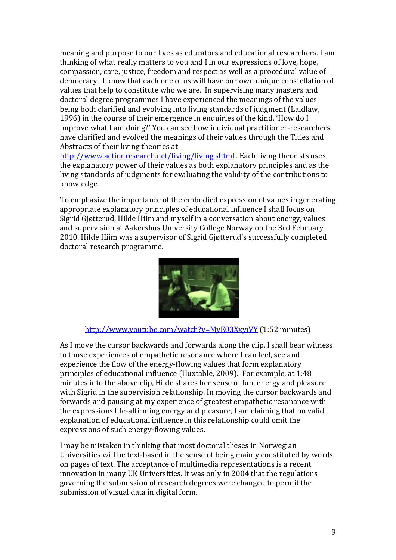meaning and purpose to our lives as educators and educational researchers. I am thinking of what really matters to you and I in our expressions of love, hope, compassion, care, justice, freedom and respect as well as a procedural value of democracy. I know that each one of us will have our own unique constellation of values that help to constitute who we are. In supervising many masters and doctoral degree programmes I have experienced the meanings of the values being both clarified and evolving into living standards of judgment (Laidlaw, 1996) in the course of their emergence in enquiries of the kind, 'How do I improve what I am doing?' You can see how individual practitioner-researchers have clarified and evolved the meanings of their values through the Titles and Abstracts of their living theories at

http://www.actionresearch.net/living/living.shtml . Each living theorists uses the explanatory power of their values as both explanatory principles and as the living standards of judgments for evaluating the validity of the contributions to knowledge.

To emphasize the importance of the embodied expression of values in generating appropriate explanatory principles of educational influence I shall focus on Sigrid Gjøtterud, Hilde Hiim and myself in a conversation about energy, values and supervision at Aakershus University College Norway on the 3rd February 2010. Hilde Hiim was a supervisor of Sigrid Giøtterud's successfully completed doctoral research programme.



### http://www.youtube.com/watch?v=MyE03XxyiVY (1:52 minutes)

As I move the cursor backwards and forwards along the clip, I shall bear witness to those experiences of empathetic resonance where I can feel, see and experience the flow of the energy-flowing values that form explanatory principles of educational influence (Huxtable, 2009). For example, at 1:48 minutes into the above clip. Hilde shares her sense of fun, energy and pleasure with Sigrid in the supervision relationship. In moving the cursor backwards and forwards and pausing at my experience of greatest empathetic resonance with the expressions life-affirming energy and pleasure, I am claiming that no valid explanation of educational influence in this relationship could omit the expressions of such energy-flowing values.

I may be mistaken in thinking that most doctoral theses in Norwegian Universities will be text-based in the sense of being mainly constituted by words on pages of text. The acceptance of multimedia representations is a recent innovation in many UK Universities. It was only in 2004 that the regulations governing the submission of research degrees were changed to permit the submission of visual data in digital form.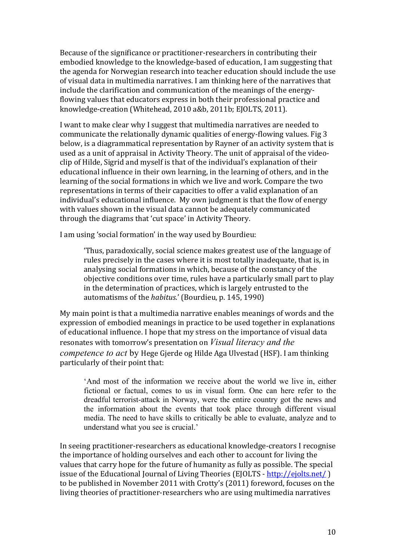Because of the significance or practitioner-researchers in contributing their embodied knowledge to the knowledge-based of education, I am suggesting that the agenda for Norwegian research into teacher education should include the use of visual data in multimedia narratives. I am thinking here of the narratives that include the clarification and communication of the meanings of the energyflowing values that educators express in both their professional practice and knowledge-creation (Whitehead, 2010 a&b, 2011b; EJOLTS, 2011).

I want to make clear why I suggest that multimedia narratives are needed to communicate the relationally dynamic qualities of energy-flowing values. Fig 3 below, is a diagrammatical representation by Rayner of an activity system that is used as a unit of appraisal in Activity Theory. The unit of appraisal of the videoclip of Hilde, Sigrid and myself is that of the individual's explanation of their educational influence in their own learning, in the learning of others, and in the learning of the social formations in which we live and work. Compare the two representations in terms of their capacities to offer a valid explanation of an individual's educational influence. My own judgment is that the flow of energy with values shown in the visual data cannot be adequately communicated through the diagrams that 'cut space' in Activity Theory.

I am using 'social formation' in the way used by Bourdieu:

'Thus, paradoxically, social science makes greatest use of the language of rules precisely in the cases where it is most totally inadequate, that is, in analysing social formations in which, because of the constancy of the objective conditions over time, rules have a particularly small part to play in the determination of practices, which is largely entrusted to the automatisms of the *habitus*.' (Bourdieu, p. 145, 1990)

My main point is that a multimedia narrative enables meanings of words and the expression of embodied meanings in practice to be used together in explanations of educational influence. I hope that my stress on the importance of visual data resonates with tomorrow's presentation on *Visual literacy and the competence to act* by Hege Gjerde og Hilde Aga Ulvestad (HSF). I am thinking particularly of their point that:

'And most of the information we receive about the world we live in, either fictional or factual, comes to us in visual form. One can here refer to the dreadful terrorist-attack in Norway, were the entire country got the news and the information about the events that took place through different visual media. The need to have skills to critically be able to evaluate, analyze and to understand what you see is crucial.'

In seeing practitioner-researchers as educational knowledge-creators I recognise the importance of holding ourselves and each other to account for living the values that carry hope for the future of humanity as fully as possible. The special issue of the Educational Journal of Living Theories (EJOLTS - http://ejolts.net/) to be published in November 2011 with Crotty's (2011) foreword, focuses on the living theories of practitioner-researchers who are using multimedia narratives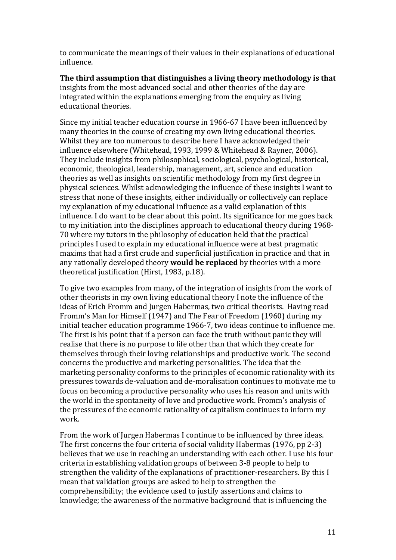to communicate the meanings of their values in their explanations of educational influence.

**The third assumption that distinguishes a living theory methodology is that** insights from the most advanced social and other theories of the day are integrated within the explanations emerging from the enquiry as living educational theories.

Since my initial teacher education course in 1966-67 I have been influenced by many theories in the course of creating my own living educational theories. Whilst they are too numerous to describe here I have acknowledged their influence elsewhere (Whitehead, 1993, 1999 & Whitehead & Rayner, 2006). They include insights from philosophical, sociological, psychological, historical, economic, theological, leadership, management, art, science and education theories as well as insights on scientific methodology from my first degree in physical sciences. Whilst acknowledging the influence of these insights I want to stress that none of these insights, either individually or collectively can replace my explanation of my educational influence as a valid explanation of this influence. I do want to be clear about this point. Its significance for me goes back to my initiation into the disciplines approach to educational theory during 1968-70 where my tutors in the philosophy of education held that the practical principles I used to explain my educational influence were at best pragmatic maxims that had a first crude and superficial justification in practice and that in any rationally developed theory **would be replaced** by theories with a more theoretical justification (Hirst, 1983, p.18).

To give two examples from many, of the integration of insights from the work of other theorists in my own living educational theory I note the influence of the ideas of Erich Fromm and Jurgen Habermas, two critical theorists. Having read Fromm's Man for Himself (1947) and The Fear of Freedom (1960) during my initial teacher education programme 1966-7, two ideas continue to influence me. The first is his point that if a person can face the truth without panic they will realise that there is no purpose to life other than that which they create for themselves through their loving relationships and productive work. The second concerns the productive and marketing personalities. The idea that the marketing personality conforms to the principles of economic rationality with its pressures towards de-valuation and de-moralisation continues to motivate me to focus on becoming a productive personality who uses his reason and units with the world in the spontaneity of love and productive work. Fromm's analysis of the pressures of the economic rationality of capitalism continues to inform my work.

From the work of Jurgen Habermas I continue to be influenced by three ideas. The first concerns the four criteria of social validity Habermas  $(1976, pp 2-3)$ believes that we use in reaching an understanding with each other. I use his four criteria in establishing validation groups of between 3-8 people to help to strengthen the validity of the explanations of practitioner-researchers. By this I mean that validation groups are asked to help to strengthen the comprehensibility; the evidence used to justify assertions and claims to knowledge; the awareness of the normative background that is influencing the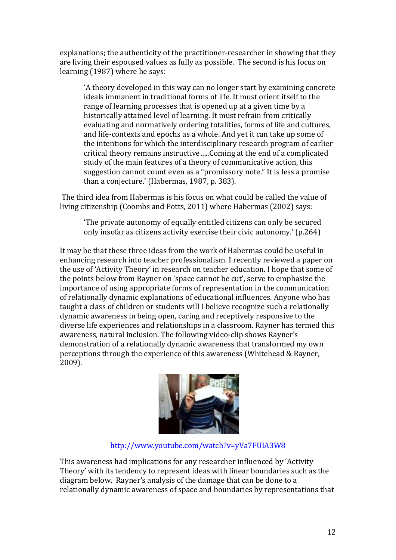explanations; the authenticity of the practitioner-researcher in showing that they are living their espoused values as fully as possible. The second is his focus on learning (1987) where he says:

A theory developed in this way can no longer start by examining concrete ideals immanent in traditional forms of life. It must orient itself to the range of learning processes that is opened up at a given time by a historically attained level of learning. It must refrain from critically evaluating and normatively ordering totalities, forms of life and cultures, and life-contexts and epochs as a whole. And yet it can take up some of the intentions for which the interdisciplinary research program of earlier critical theory remains instructive.....Coming at the end of a complicated study of the main features of a theory of communicative action, this suggestion cannot count even as a "promissory note." It is less a promise than a conjecture.' (Habermas, 1987, p. 383).

The third idea from Habermas is his focus on what could be called the value of living citizenship (Coombs and Potts, 2011) where Habermas (2002) says:

The private autonomy of equally entitled citizens can only be secured only insofar as citizens activity exercise their civic autonomy.' (p.264)

It may be that these three ideas from the work of Habermas could be useful in enhancing research into teacher professionalism. I recently reviewed a paper on the use of 'Activity Theory' in research on teacher education. I hope that some of the points below from Rayner on 'space cannot be cut', serve to emphasize the importance of using appropriate forms of representation in the communication of relationally dynamic explanations of educational influences. Anyone who has taught a class of children or students will I believe recognize such a relationally dynamic awareness in being open, caring and receptively responsive to the diverse life experiences and relationships in a classroom. Rayner has termed this awareness, natural inclusion. The following video-clip shows Rayner's demonstration of a relationally dynamic awareness that transformed my own perceptions through the experience of this awareness (Whitehead & Rayner, 2009).



# http://www.youtube.com/watch?v=yVa7FUIA3W8

This awareness had implications for any researcher influenced by 'Activity Theory' with its tendency to represent ideas with linear boundaries such as the diagram below. Rayner's analysis of the damage that can be done to a relationally dynamic awareness of space and boundaries by representations that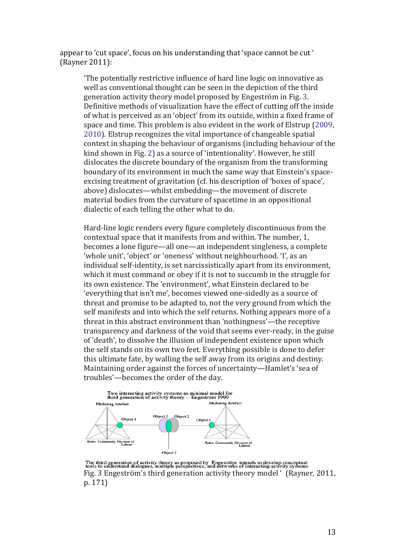appear to 'cut space', focus on his understanding that 'space cannot be cut ' (Rayner 2011):

'The potentially restrictive influence of hard line logic on innovative as well as conventional thought can be seen in the depiction of the third generation activity theory model proposed by Engeström in Fig. 3. Definitive methods of visualization have the effect of cutting off the inside of what is perceived as an 'object' from its outside, within a fixed frame of space and time. This problem is also evident in the work of Elstrup  $(2009, 1000)$ 2010). Elstrup recognizes the vital importance of changeable spatial context in shaping the behaviour of organisms (including behaviour of the kind shown in Fig. 2) as a source of 'intentionality'. However, he still dislocates the discrete boundary of the organism from the transforming boundary of its environment in much the same way that Einstein's spaceexcising treatment of gravitation (cf. his description of 'boxes of space', above) dislocates—whilst embedding—the movement of discrete material bodies from the curvature of spacetime in an oppositional dialectic of each telling the other what to do.

Hard-line logic renders every figure completely discontinuous from the contextual space that it manifests from and within. The number, 1, becomes a lone figure—all one—an independent singleness, a complete 'whole unit', 'object' or 'oneness' without neighbourhood. 'I', as an individual self-identity, is set narcissistically apart from its environment, which it must command or obey if it is not to succumb in the struggle for its own existence. The 'environment', what Einstein declared to be 'everything that isn't me', becomes viewed one-sidedly as a source of threat and promise to be adapted to, not the very ground from which the self manifests and into which the self returns. Nothing appears more of a threat in this abstract environment than 'nothingness'—the receptive transparency and darkness of the void that seems ever-ready, in the guise of 'death', to dissolve the illusion of independent existence upon which the self stands on its own two feet. Everything possible is done to defer this ultimate fate, by walling the self away from its origins and destiny. Maintaining order against the forces of uncertainty—Hamlet's 'sea of troubles'—becomes the order of the day.



The third generation of activity theory as proposed by Engeström intends to develop conceptual<br>tools to understand dialogues, multiple perspectives, and networks of interacting activity systems.<br>Fig. 3 Engeström's third ge p. 171)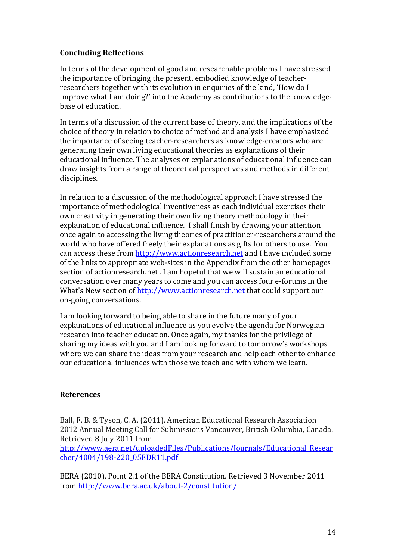# **Concluding Reflections**

In terms of the development of good and researchable problems I have stressed the importance of bringing the present, embodied knowledge of teacherresearchers together with its evolution in enquiries of the kind, 'How do I improve what I am doing?' into the Academy as contributions to the knowledgebase of education.

In terms of a discussion of the current base of theory, and the implications of the choice of theory in relation to choice of method and analysis I have emphasized the importance of seeing teacher-researchers as knowledge-creators who are generating their own living educational theories as explanations of their educational influence. The analyses or explanations of educational influence can draw insights from a range of theoretical perspectives and methods in different disciplines.

In relation to a discussion of the methodological approach I have stressed the importance of methodological inventiveness as each individual exercises their own creativity in generating their own living theory methodology in their explanation of educational influence. I shall finish by drawing your attention once again to accessing the living theories of practitioner-researchers around the world who have offered freely their explanations as gifts for others to use. You can access these from http://www.actionresearch.net and I have included some of the links to appropriate web-sites in the Appendix from the other homepages section of actionresearch.net . I am hopeful that we will sustain an educational conversation over many vears to come and you can access four e-forums in the What's New section of http://www.actionresearch.net that could support our on-going conversations.

I am looking forward to being able to share in the future many of your explanations of educational influence as you evolve the agenda for Norwegian research into teacher education. Once again, my thanks for the privilege of sharing my ideas with you and I am looking forward to tomorrow's workshops where we can share the ideas from your research and help each other to enhance our educational influences with those we teach and with whom we learn.

### **References**

Ball, F. B. & Tyson, C. A. (2011). American Educational Research Association 2012 Annual Meeting Call for Submissions Vancouver, British Columbia, Canada. Retrieved 8 July 2011 from

http://www.aera.net/uploadedFiles/Publications/Journals/Educational\_Resear cher/4004/198-220\_05EDR11.pdf

BERA (2010). Point 2.1 of the BERA Constitution. Retrieved 3 November 2011 from http://www.bera.ac.uk/about-2/constitution/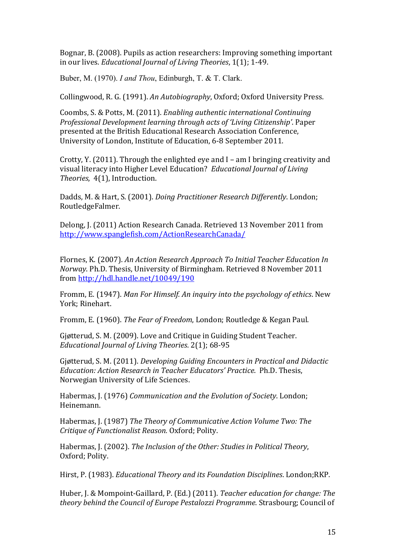Bognar, B. (2008). Pupils as action researchers: Improving something important in our lives. *Educational Journal of Living Theories*, 1(1); 1-49.

Buber, M. (1970). *I and Thou*, Edinburgh, T. & T. Clark.

Collingwood, R. G. (1991). *An Autobiography*, Oxford; Oxford University Press.

Coombs, S. & Potts, M. (2011). *Enabling authentic international Continuing Professional Development learning through acts of 'Living Citizenship'*. Paper presented at the British Educational Research Association Conference, University of London, Institute of Education, 6-8 September 2011.

Crotty, Y. (2011). Through the enlighted eve and  $I$  – am I bringing creativity and visual literacy into Higher Level Education? *Educational Journal of Living Theories*, 4(1), Introduction.

Dadds, M. & Hart, S. (2001). *Doing Practitioner Research Differently*. London; RoutledgeFalmer.

Delong, J. (2011) Action Research Canada. Retrieved 13 November 2011 from http://www.spanglefish.com/ActionResearchCanada/

Flornes, K. (2007). *An Action Research Approach To Initial Teacher Education In Norway*. Ph.D. Thesis, University of Birmingham. Retrieved 8 November 2011 from http://hdl.handle.net/10049/190

Fromm, E. (1947). *Man For Himself. An inquiry into the psychology of ethics*. New York: Rinehart.

Fromm, E. (1960). *The Fear of Freedom*, London; Routledge & Kegan Paul.

Giøtterud, S. M. (2009). Love and Critique in Guiding Student Teacher. *Educational Journal of Living Theories*. 2(1); 68-95

Gigtterud, S. M. (2011). *Developing Guiding Encounters in Practical and Didactic Education: Action Research in Teacher Educators' Practice*. Ph.D. Thesis, Norwegian University of Life Sciences.

Habermas, J. (1976) *Communication and the Evolution of Society*. London; Heinemann.

Habermas, J. (1987) The Theory of Communicative Action Volume Two: The *Critique of Functionalist Reason.* Oxford; Polity.

Habermas, J. (2002). *The Inclusion of the Other: Studies in Political Theory*, Oxford; Polity.

Hirst, P. (1983). *Educational Theory and its Foundation Disciplines*. London;RKP.

Huber, J. & Mompoint-Gaillard, P. (Ed.) (2011). *Teacher education for change: The theory behind the Council of Europe Pestalozzi Programme. Strasbourg; Council of*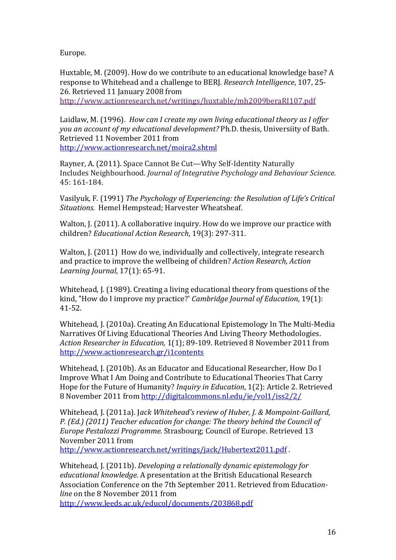Europe.

Huxtable, M. (2009). How do we contribute to an educational knowledge base? A response to Whitehead and a challenge to BERJ. *Research Intelligence*, 107, 25-26. Retrieved 11 January 2008 from http://www.actionresearch.net/writings/huxtable/mh2009beraRI107.pdf

Laidlaw, M. (1996). *How can I create my own living educational theory as I offer you an account of my educational development?* Ph.D. thesis, Universiity of Bath. Retrieved 11 November 2011 from http://www.actionresearch.net/moira2.shtml

Rayner, A. (2011). Space Cannot Be Cut—Why Self-Identity Naturally Includes Neighbourhood. *Journal of Integrative Psychology and Behaviour Science.* 45: 161-184.

Vasilyuk, F. (1991) *The Psychology of Experiencing: the Resolution of Life's Critical* Situations. Hemel Hempstead; Harvester Wheatsheaf.

Walton, J. (2011). A collaborative inquiry. How do we improve our practice with children? *Educational Action Research*, 19(3): 297-311.

Walton, J. (2011) How do we, individually and collectively, integrate research and practice to improve the wellbeing of children? *Action Research, Action Learning Journal,* 17(1): 65-91.

Whitehead, I. (1989). Creating a living educational theory from questions of the kind, "How do I improve my practice?' *Cambridge Journal of Education*, 19(1): 41-52.

Whitehead, I. (2010a). Creating An Educational Epistemology In The Multi-Media Narratives Of Living Educational Theories And Living Theory Methodologies. *Action Researcher in Education,* 1(1); 89-109. Retrieved 8 November 2011 from http://www.actionresearch.gr/i1contents

Whitehead, J. (2010b). As an Educator and Educational Researcher, How Do I Improve What I Am Doing and Contribute to Educational Theories That Carry Hope for the Future of Humanity? *Inquiry in Education*, 1(2): Article 2. Retrieved 8 November 2011 from http://digitalcommons.nl.edu/ie/vol1/iss2/2/

Whitehead, J. (2011a). *Jack Whitehead's review of Huber, J. & Mompoint-Gaillard. P.* (Ed.) (2011) Teacher education for change: The theory behind the Council of *Europe Pestalozzi Programme.* Strasbourg: Council of Europe. Retrieved 13 November 2011 from 

http://www.actionresearch.net/writings/jack/Hubertext2011.pdf

Whitehead, J. (2011b). *Developing a relationally dynamic epistemology for* educational knowledge. A presentation at the British Educational Research Association Conference on the 7th September 2011. Retrieved from Education*line* on the 8 November 2011 from http://www.leeds.ac.uk/educol/documents/203868.pdf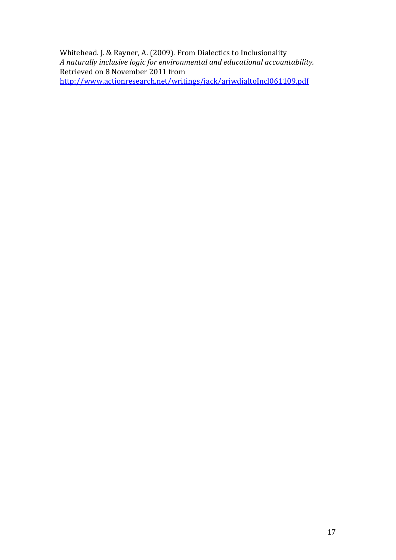Whitehead. J. & Rayner, A. (2009). From Dialectics to Inclusionality *A naturally inclusive logic for environmental and educational accountability.*  Retrieved on 8 November 2011 from http://www.actionresearch.net/writings/jack/arjwdialtoIncl061109.pdf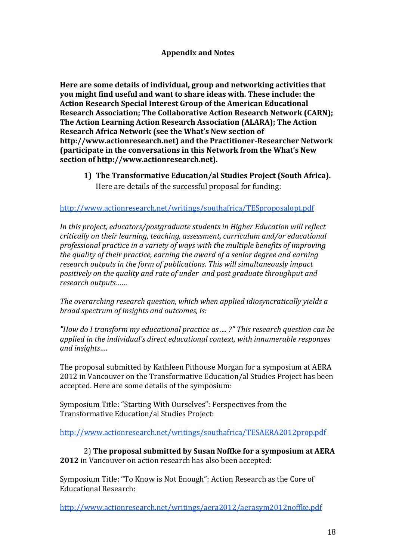## **Appendix and Notes**

Here are some details of individual, group and networking activities that **you might find useful and want to share ideas with. These include: the** Action Research Special Interest Group of the American Educational **Research Association; The Collaborative Action Research Network (CARN); The Action Learning Action Research Association (ALARA); The Action Research Africa Network (see the What's New section of** http://www.actionresearch.net) and the Practitioner-Researcher Network **(participate in the conversations in this Network from the What's New** section of http://www.actionresearch.net).

**1)** The Transformative Education/al Studies Project (South Africa). Here are details of the successful proposal for funding:

### http://www.actionresearch.net/writings/southafrica/TESproposalopt.pdf

In this project, educators/postgraduate students in Higher Education will reflect *critically* on their learning, teaching, assessment, curriculum and/or educational *professional practice in a variety of ways with the multiple benefits of improving the quality of their practice, earning the award of a senior degree and earning research outputs in the form of publications. This will simultaneously impact positively* on the quality and rate of under and post graduate throughput and *research outputs……*

The overarching research question, which when applied *idiosyncratically yields a broad spectrum of insights and outcomes, is:* 

"How do I transform my educational practice as .... ?" This research question can be applied in the individual's direct educational context, with innumerable responses *and insights….* 

The proposal submitted by Kathleen Pithouse Morgan for a symposium at AERA 2012 in Vancouver on the Transformative Education/al Studies Project has been accepted. Here are some details of the symposium:

Symposium Title: "Starting With Ourselves": Perspectives from the Transformative Education/al Studies Project:

http://www.actionresearch.net/writings/southafrica/TESAERA2012prop.pdf

2) The proposal submitted by Susan Noffke for a symposium at AERA **2012** in Vancouver on action research has also been accepted:

Symposium Title: "To Know is Not Enough": Action Research as the Core of Educational Research:

http://www.actionresearch.net/writings/aera2012/aerasym2012noffke.pdf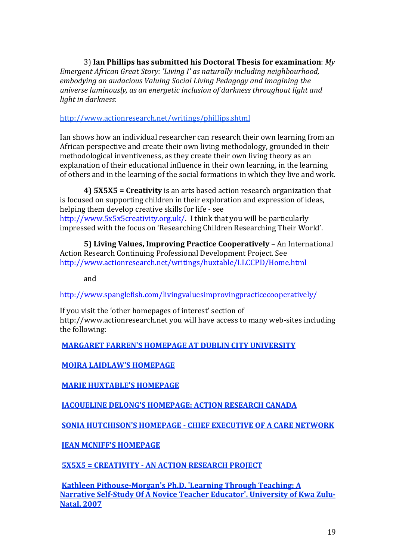3) Ian Phillips has submitted his Doctoral Thesis for examination: My *Emergent African Great Story: 'Living I' as naturally including neighbourhood, embodying an audacious Valuing Social Living Pedagogy and imagining the universe luminously, as an energetic inclusion of darkness throughout light and* light in darkness:

http://www.actionresearch.net/writings/phillips.shtml

Ian shows how an individual researcher can research their own learning from an African perspective and create their own living methodology, grounded in their methodological inventiveness, as they create their own living theory as an explanation of their educational influence in their own learning, in the learning of others and in the learning of the social formations in which they live and work.

**4) 5X5X5 = Creativity** is an arts based action research organization that is focused on supporting children in their exploration and expression of ideas, helping them develop creative skills for life - see http://www.5x5x5creativity.org.uk/. I think that you will be particularly impressed with the focus on 'Researching Children Researching Their World'.

**5) Living Values, Improving Practice Cooperatively** – An International Action Research Continuing Professional Development Project. See http://www.actionresearch.net/writings/huxtable/LLCCPD/Home.html 

and

http://www.spanglefish.com/livingvaluesimprovingpracticecooperatively/

If you visit the 'other homepages of interest' section of http://www.actionresearch.net you will have access to many web-sites including the following:

**MARGARET FARREN'S HOMEPAGE AT DUBLIN CITY UNIVERSITY** 

**MOIRA LAIDLAW'S HOMEPAGE** 

**MARIE HUXTABLE'S HOMEPAGE** 

**JACOUELINE DELONG'S HOMEPAGE: ACTION RESEARCH CANADA** 

**SONIA HUTCHISON'S HOMEPAGE - CHIEF EXECUTIVE OF A CARE NETWORK** 

**JEAN MCNIFF'S HOMEPAGE** 

**5X5X5 = CREATIVITY - AN ACTION RESEARCH PROJECT** 

**Kathleen Pithouse-Morgan's Ph.D. 'Learning Through Teaching: A Narrative Self-Study Of A Novice Teacher Educator'. University of Kwa Zulu-Natal, 2007**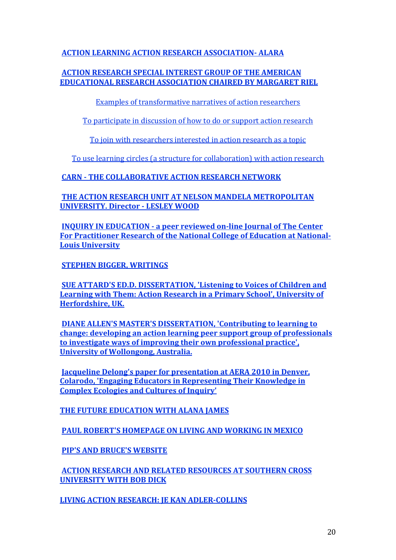**ACTION LEARNING ACTION RESEARCH ASSOCIATION- ALARA** 

# **ACTION RESEARCH SPECIAL INTEREST GROUP OF THE AMERICAN EDUCATIONAL RESEARCH ASSOCIATION CHAIRED BY MARGARET RIEL**

Examples of transformative narratives of action researchers

To participate in discussion of how to do or support action research

To join with researchers interested in action research as a topic

To use learning circles (a structure for collaboration) with action research

# **CARN - THE COLLABORATIVE ACTION RESEARCH NETWORK**

THE ACTION RESEARCH UNIT AT NELSON MANDELA METROPOLITAN **UNIVERSITY.** Director - LESLEY WOOD

**INQUIRY IN EDUCATION - a peer reviewed on-line Journal of The Center** For Practitioner Research of the National College of Education at National-**Louis University**

**STEPHEN BIGGER, WRITINGS**

**SUE ATTARD'S ED.D. DISSERTATION, 'Listening to Voices of Children and Learning with Them: Action Research in a Primary School', University of Herfordshire, UK.** 

**DIANE ALLEN'S MASTER'S DISSERTATION, 'Contributing to learning to** change: developing an action learning peer support group of professionals to investigate ways of improving their own professional practice', **University of Wollongong, Australia.** 

**<u>Jacqueline Delong's paper for presentation at AERA 2010 in Denver,</u> Colarodo, 'Engaging Educators in Representing Their Knowledge in Complex Ecologies and Cultures of Inquiry'**

**THE FUTURE EDUCATION WITH ALANA JAMES** 

**PAUL ROBERT'S HOMEPAGE ON LIVING AND WORKING IN MEXICO** 

**PIP'S AND BRUCE'S WEBSITE** 

**ACTION RESEARCH AND RELATED RESOURCES AT SOUTHERN CROSS UNIVERSITY WITH BOB DICK** 

**LIVING ACTION RESEARCH: IE KAN ADLER-COLLINS**